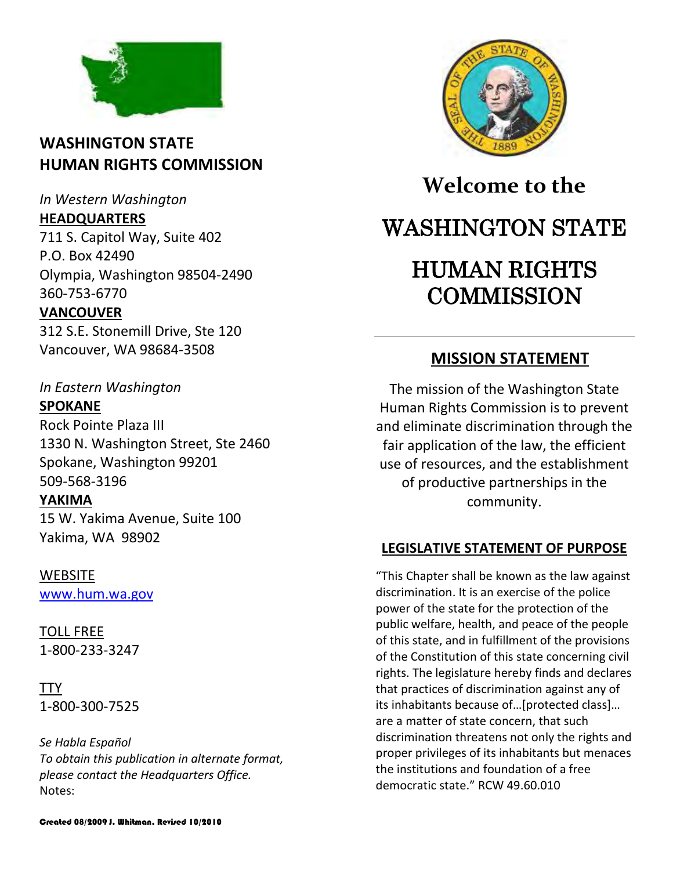

# **WASHINGTON STATE HUMAN RIGHTS COMMISSION**

*In Western Washington*

### **HEADQUARTERS**

711 S. Capitol Way, Suite 402 P.O. Box 42490 Olympia, Washington 98504-2490 360-753-6770

# **VANCOUVER**

312 S.E. Stonemill Drive, Ste 120 Vancouver, WA 98684-3508

*In Eastern Washington*

## **SPOKANE**

Rock Pointe Plaza III 1330 N. Washington Street, Ste 2460 Spokane, Washington 99201 509-568-3196

# **YAKIMA**

15 W. Yakima Avenue, Suite 100 Yakima, WA 98902

## **WEBSITE**

[www.hum.wa.gov](http://www.hum.wa.gov/)

TOLL FREE 1-800-233-3247

TTY 1-800-300-7525

*Se Habla Español To obtain this publication in alternate format, please contact the Headquarters Office.* Notes:



# **Welcome to the** WASHINGTON STATE HUMAN RIGHTS **COMMISSION**

# **MISSION STATEMENT**

The mission of the Washington State Human Rights Commission is to prevent and eliminate discrimination through the fair application of the law, the efficient use of resources, and the establishment of productive partnerships in the community.

# **LEGISLATIVE STATEMENT OF PURPOSE**

"This Chapter shall be known as the law against discrimination. It is an exercise of the police power of the state for the protection of the public welfare, health, and peace of the people of this state, and in fulfillment of the provisions of the Constitution of this state concerning civil rights. The legislature hereby finds and declares that practices of discrimination against any of its inhabitants because of…[protected class]… are a matter of state concern, that such discrimination threatens not only the rights and proper privileges of its inhabitants but menaces the institutions and foundation of a free democratic state." RCW 49.60.010